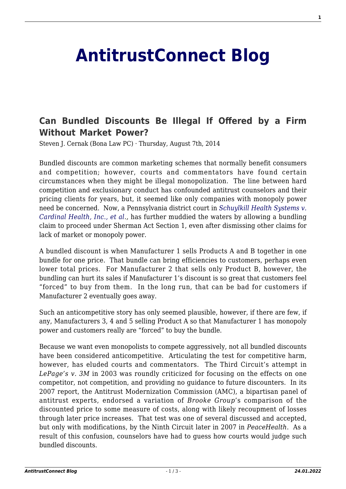## **[AntitrustConnect Blog](http://antitrustconnect.com/)**

## **[Can Bundled Discounts Be Illegal If Offered by a Firm](http://antitrustconnect.com/2014/08/07/can-bundled-discounts-be-illegal-if-offered-by-a-firm-without-market-power/) [Without Market Power?](http://antitrustconnect.com/2014/08/07/can-bundled-discounts-be-illegal-if-offered-by-a-firm-without-market-power/)**

Steven J. Cernak (Bona Law PC) · Thursday, August 7th, 2014

Bundled discounts are common marketing schemes that normally benefit consumers and competition; however, courts and commentators have found certain circumstances when they might be illegal monopolization. The line between hard competition and exclusionary conduct has confounded antitrust counselors and their pricing clients for years, but, it seemed like only companies with monopoly power need be concerned. Now, a Pennsylvania district court in *[Schuylkill Health Systems v.](http://business.cch.com/ald/SchuylkillHealthvCardinalHealth20140730.pdf) [Cardinal Health, Inc., et al](http://business.cch.com/ald/SchuylkillHealthvCardinalHealth20140730.pdf).,* has further muddied the waters by allowing a bundling claim to proceed under Sherman Act Section 1, even after dismissing other claims for lack of market or monopoly power.

A bundled discount is when Manufacturer 1 sells Products A and B together in one bundle for one price. That bundle can bring efficiencies to customers, perhaps even lower total prices. For Manufacturer 2 that sells only Product B, however, the bundling can hurt its sales if Manufacturer 1's discount is so great that customers feel "forced" to buy from them. In the long run, that can be bad for customers if Manufacturer 2 eventually goes away.

Such an anticompetitive story has only seemed plausible, however, if there are few, if any, Manufacturers 3, 4 and 5 selling Product A so that Manufacturer 1 has monopoly power and customers really are "forced" to buy the bundle.

Because we want even monopolists to compete aggressively, not all bundled discounts have been considered anticompetitive. Articulating the test for competitive harm, however, has eluded courts and commentators. The Third Circuit's attempt in *LePage's v. 3M* in 2003 was roundly criticized for focusing on the effects on one competitor, not competition, and providing no guidance to future discounters. In its 2007 report, the Antitrust Modernization Commission (AMC), a bipartisan panel of antitrust experts, endorsed a variation of *Brooke Group*'s comparison of the discounted price to some measure of costs, along with likely recoupment of losses through later price increases. That test was one of several discussed and accepted, but only with modifications, by the Ninth Circuit later in 2007 in *PeaceHealth*. As a result of this confusion, counselors have had to guess how courts would judge such bundled discounts.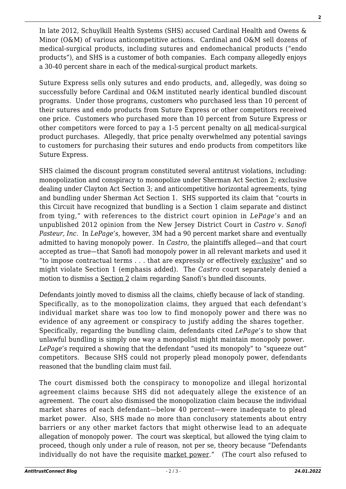In late 2012, Schuylkill Health Systems (SHS) accused Cardinal Health and Owens & Minor (O&M) of various anticompetitive actions. Cardinal and O&M sell dozens of medical-surgical products, including sutures and endomechanical products ("endo products"), and SHS is a customer of both companies. Each company allegedly enjoys a 30-40 percent share in each of the medical-surgical product markets.

Suture Express sells only sutures and endo products, and, allegedly, was doing so successfully before Cardinal and O&M instituted nearly identical bundled discount programs. Under those programs, customers who purchased less than 10 percent of their sutures and endo products from Suture Express or other competitors received one price. Customers who purchased more than 10 percent from Suture Express or other competitors were forced to pay a 1-5 percent penalty on all medical-surgical product purchases. Allegedly, that price penalty overwhelmed any potential savings to customers for purchasing their sutures and endo products from competitors like Suture Express.

SHS claimed the discount program constituted several antitrust violations, including: monopolization and conspiracy to monopolize under Sherman Act Section 2; exclusive dealing under Clayton Act Section 3; and anticompetitive horizontal agreements, tying and bundling under Sherman Act Section 1. SHS supported its claim that "courts in this Circuit have recognized that bundling is a Section 1 claim separate and distinct from tying," with references to the district court opinion in *LePage's* and an unpublished 2012 opinion from the New Jersey District Court in *Castro v. Sanofi Pasteur, Inc*. In *LePage's*, however, 3M had a 90 percent market share and eventually admitted to having monopoly power. In *Castro*, the plaintiffs alleged—and that court accepted as true—that Sanofi had monopoly power in all relevant markets and used it "to impose contractual terms . . . that are expressly or effectively exclusive" and so might violate Section 1 (emphasis added). The *Castro* court separately denied a motion to dismiss a Section 2 claim regarding Sanofi's bundled discounts.

Defendants jointly moved to dismiss all the claims, chiefly because of lack of standing. Specifically, as to the monopolization claims, they argued that each defendant's individual market share was too low to find monopoly power and there was no evidence of any agreement or conspiracy to justify adding the shares together. Specifically, regarding the bundling claim, defendants cited *LePage's* to show that unlawful bundling is simply one way a monopolist might maintain monopoly power. *LePage's* required a showing that the defendant "used its monopoly" to "squeeze out" competitors. Because SHS could not properly plead monopoly power, defendants reasoned that the bundling claim must fail.

The court dismissed both the conspiracy to monopolize and illegal horizontal agreement claims because SHS did not adequately allege the existence of an agreement. The court also dismissed the monopolization claim because the individual market shares of each defendant—below 40 percent—were inadequate to plead market power. Also, SHS made no more than conclusory statements about entry barriers or any other market factors that might otherwise lead to an adequate allegation of monopoly power. The court was skeptical, but allowed the tying claim to proceed, though only under a rule of reason, not per se, theory because "Defendants individually do not have the requisite market power." (The court also refused to